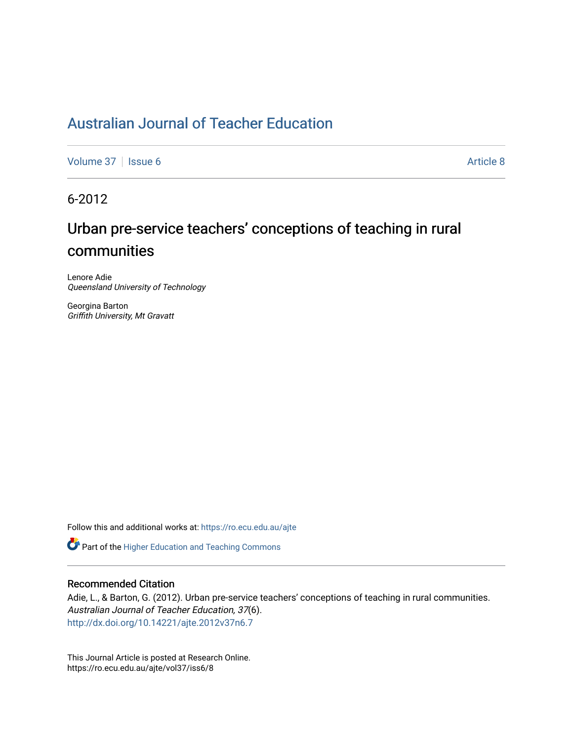## [Australian Journal of Teacher Education](https://ro.ecu.edu.au/ajte)

[Volume 37](https://ro.ecu.edu.au/ajte/vol37) | [Issue 6](https://ro.ecu.edu.au/ajte/vol37/iss6) Article 8

6-2012

# Urban pre-service teachers' conceptions of teaching in rural communities

Lenore Adie Queensland University of Technology

Georgina Barton Griffith University, Mt Gravatt

Follow this and additional works at: [https://ro.ecu.edu.au/ajte](https://ro.ecu.edu.au/ajte?utm_source=ro.ecu.edu.au%2Fajte%2Fvol37%2Fiss6%2F8&utm_medium=PDF&utm_campaign=PDFCoverPages) 

**C** Part of the [Higher Education and Teaching Commons](http://network.bepress.com/hgg/discipline/806?utm_source=ro.ecu.edu.au%2Fajte%2Fvol37%2Fiss6%2F8&utm_medium=PDF&utm_campaign=PDFCoverPages)

## Recommended Citation

Adie, L., & Barton, G. (2012). Urban pre-service teachers' conceptions of teaching in rural communities. Australian Journal of Teacher Education, 37(6). <http://dx.doi.org/10.14221/ajte.2012v37n6.7>

This Journal Article is posted at Research Online. https://ro.ecu.edu.au/ajte/vol37/iss6/8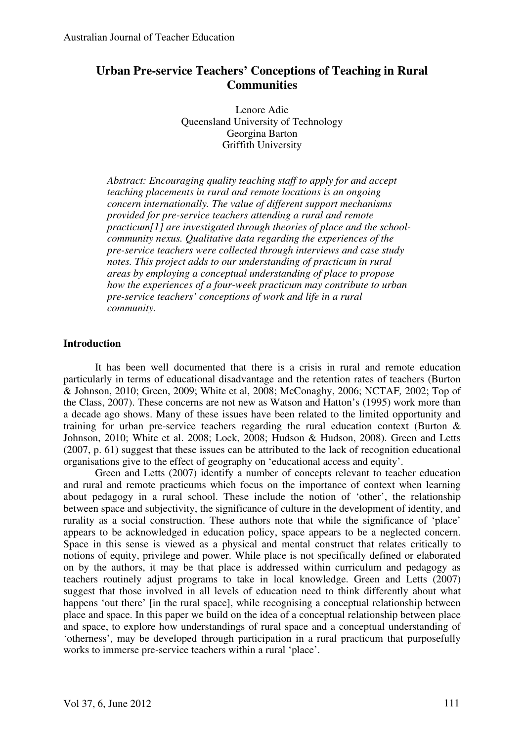## **Urban Pre-service Teachers' Conceptions of Teaching in Rural Communities**

Lenore Adie Queensland University of Technology Georgina Barton Griffith University

*Abstract: Encouraging quality teaching staff to apply for and accept teaching placements in rural and remote locations is an ongoing concern internationally. The value of different support mechanisms provided for pre-service teachers attending a rural and remote practicum[1] are investigated through theories of place and the schoolcommunity nexus. Qualitative data regarding the experiences of the pre-service teachers were collected through interviews and case study notes. This project adds to our understanding of practicum in rural areas by employing a conceptual understanding of place to propose how the experiences of a four-week practicum may contribute to urban pre-service teachers' conceptions of work and life in a rural community.* 

## **Introduction**

It has been well documented that there is a crisis in rural and remote education particularly in terms of educational disadvantage and the retention rates of teachers (Burton & Johnson, 2010; Green, 2009; White et al, 2008; McConaghy, 2006; NCTAF*,* 2002; Top of the Class, 2007). These concerns are not new as Watson and Hatton's (1995) work more than a decade ago shows. Many of these issues have been related to the limited opportunity and training for urban pre-service teachers regarding the rural education context (Burton & Johnson, 2010; White et al. 2008; Lock, 2008; Hudson & Hudson, 2008). Green and Letts (2007, p. 61) suggest that these issues can be attributed to the lack of recognition educational organisations give to the effect of geography on 'educational access and equity'.

Green and Letts (2007) identify a number of concepts relevant to teacher education and rural and remote practicums which focus on the importance of context when learning about pedagogy in a rural school. These include the notion of 'other', the relationship between space and subjectivity, the significance of culture in the development of identity, and rurality as a social construction. These authors note that while the significance of 'place' appears to be acknowledged in education policy, space appears to be a neglected concern. Space in this sense is viewed as a physical and mental construct that relates critically to notions of equity, privilege and power. While place is not specifically defined or elaborated on by the authors, it may be that place is addressed within curriculum and pedagogy as teachers routinely adjust programs to take in local knowledge. Green and Letts (2007) suggest that those involved in all levels of education need to think differently about what happens 'out there' [in the rural space], while recognising a conceptual relationship between place and space. In this paper we build on the idea of a conceptual relationship between place and space, to explore how understandings of rural space and a conceptual understanding of 'otherness', may be developed through participation in a rural practicum that purposefully works to immerse pre-service teachers within a rural 'place'.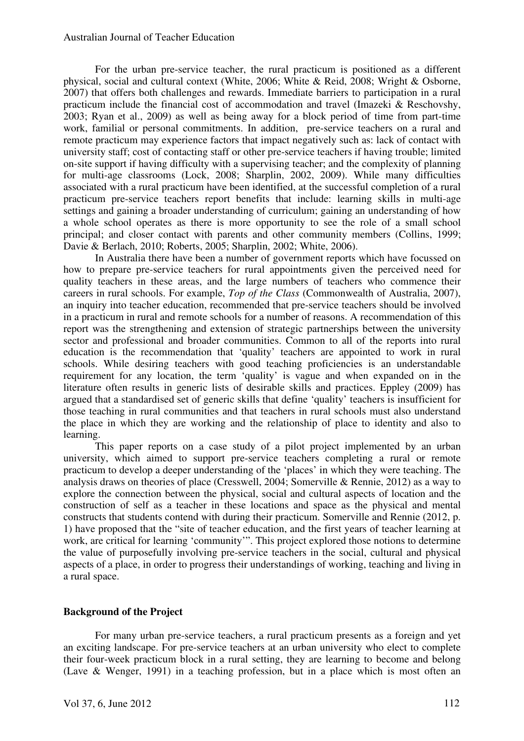#### Australian Journal of Teacher Education

For the urban pre-service teacher, the rural practicum is positioned as a different physical, social and cultural context (White, 2006; White & Reid, 2008; Wright & Osborne, 2007) that offers both challenges and rewards. Immediate barriers to participation in a rural practicum include the financial cost of accommodation and travel (Imazeki & Reschovshy, 2003; Ryan et al., 2009) as well as being away for a block period of time from part-time work, familial or personal commitments. In addition, pre-service teachers on a rural and remote practicum may experience factors that impact negatively such as: lack of contact with university staff; cost of contacting staff or other pre-service teachers if having trouble; limited on-site support if having difficulty with a supervising teacher; and the complexity of planning for multi-age classrooms (Lock, 2008; Sharplin, 2002, 2009). While many difficulties associated with a rural practicum have been identified, at the successful completion of a rural practicum pre-service teachers report benefits that include: learning skills in multi-age settings and gaining a broader understanding of curriculum; gaining an understanding of how a whole school operates as there is more opportunity to see the role of a small school principal; and closer contact with parents and other community members (Collins, 1999; Davie & Berlach, 2010; Roberts, 2005; Sharplin, 2002; White, 2006).

In Australia there have been a number of government reports which have focussed on how to prepare pre-service teachers for rural appointments given the perceived need for quality teachers in these areas, and the large numbers of teachers who commence their careers in rural schools. For example, *Top of the Class* (Commonwealth of Australia, 2007), an inquiry into teacher education, recommended that pre-service teachers should be involved in a practicum in rural and remote schools for a number of reasons. A recommendation of this report was the strengthening and extension of strategic partnerships between the university sector and professional and broader communities. Common to all of the reports into rural education is the recommendation that 'quality' teachers are appointed to work in rural schools. While desiring teachers with good teaching proficiencies is an understandable requirement for any location, the term 'quality' is vague and when expanded on in the literature often results in generic lists of desirable skills and practices. Eppley (2009) has argued that a standardised set of generic skills that define 'quality' teachers is insufficient for those teaching in rural communities and that teachers in rural schools must also understand the place in which they are working and the relationship of place to identity and also to learning.

This paper reports on a case study of a pilot project implemented by an urban university, which aimed to support pre-service teachers completing a rural or remote practicum to develop a deeper understanding of the 'places' in which they were teaching. The analysis draws on theories of place (Cresswell, 2004; Somerville & Rennie, 2012) as a way to explore the connection between the physical, social and cultural aspects of location and the construction of self as a teacher in these locations and space as the physical and mental constructs that students contend with during their practicum. Somerville and Rennie (2012, p. 1) have proposed that the "site of teacher education, and the first years of teacher learning at work, are critical for learning 'community'". This project explored those notions to determine the value of purposefully involving pre-service teachers in the social, cultural and physical aspects of a place, in order to progress their understandings of working, teaching and living in a rural space.

## **Background of the Project**

For many urban pre-service teachers, a rural practicum presents as a foreign and yet an exciting landscape. For pre-service teachers at an urban university who elect to complete their four-week practicum block in a rural setting, they are learning to become and belong (Lave & Wenger, 1991) in a teaching profession, but in a place which is most often an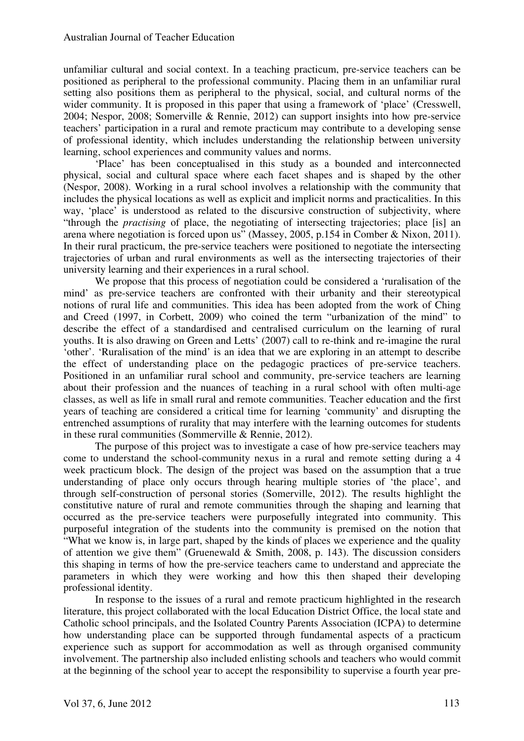unfamiliar cultural and social context. In a teaching practicum, pre-service teachers can be positioned as peripheral to the professional community. Placing them in an unfamiliar rural setting also positions them as peripheral to the physical, social, and cultural norms of the wider community. It is proposed in this paper that using a framework of 'place' (Cresswell, 2004; Nespor, 2008; Somerville & Rennie, 2012) can support insights into how pre-service teachers' participation in a rural and remote practicum may contribute to a developing sense of professional identity, which includes understanding the relationship between university learning, school experiences and community values and norms.

'Place' has been conceptualised in this study as a bounded and interconnected physical, social and cultural space where each facet shapes and is shaped by the other (Nespor, 2008). Working in a rural school involves a relationship with the community that includes the physical locations as well as explicit and implicit norms and practicalities. In this way, 'place' is understood as related to the discursive construction of subjectivity, where "through the *practising* of place, the negotiating of intersecting trajectories; place [is] an arena where negotiation is forced upon us" (Massey, 2005, p.154 in Comber & Nixon, 2011). In their rural practicum, the pre-service teachers were positioned to negotiate the intersecting trajectories of urban and rural environments as well as the intersecting trajectories of their university learning and their experiences in a rural school.

We propose that this process of negotiation could be considered a 'ruralisation of the mind' as pre-service teachers are confronted with their urbanity and their stereotypical notions of rural life and communities. This idea has been adopted from the work of Ching and Creed (1997, in Corbett, 2009) who coined the term "urbanization of the mind" to describe the effect of a standardised and centralised curriculum on the learning of rural youths. It is also drawing on Green and Letts' (2007) call to re-think and re-imagine the rural 'other'. 'Ruralisation of the mind' is an idea that we are exploring in an attempt to describe the effect of understanding place on the pedagogic practices of pre-service teachers. Positioned in an unfamiliar rural school and community, pre-service teachers are learning about their profession and the nuances of teaching in a rural school with often multi-age classes, as well as life in small rural and remote communities. Teacher education and the first years of teaching are considered a critical time for learning 'community' and disrupting the entrenched assumptions of rurality that may interfere with the learning outcomes for students in these rural communities (Sommerville & Rennie, 2012).

The purpose of this project was to investigate a case of how pre-service teachers may come to understand the school-community nexus in a rural and remote setting during a 4 week practicum block. The design of the project was based on the assumption that a true understanding of place only occurs through hearing multiple stories of 'the place', and through self-construction of personal stories (Somerville, 2012). The results highlight the constitutive nature of rural and remote communities through the shaping and learning that occurred as the pre-service teachers were purposefully integrated into community. This purposeful integration of the students into the community is premised on the notion that "What we know is, in large part, shaped by the kinds of places we experience and the quality of attention we give them" (Gruenewald & Smith, 2008, p. 143). The discussion considers this shaping in terms of how the pre-service teachers came to understand and appreciate the parameters in which they were working and how this then shaped their developing professional identity.

In response to the issues of a rural and remote practicum highlighted in the research literature, this project collaborated with the local Education District Office, the local state and Catholic school principals, and the Isolated Country Parents Association (ICPA) to determine how understanding place can be supported through fundamental aspects of a practicum experience such as support for accommodation as well as through organised community involvement. The partnership also included enlisting schools and teachers who would commit at the beginning of the school year to accept the responsibility to supervise a fourth year pre-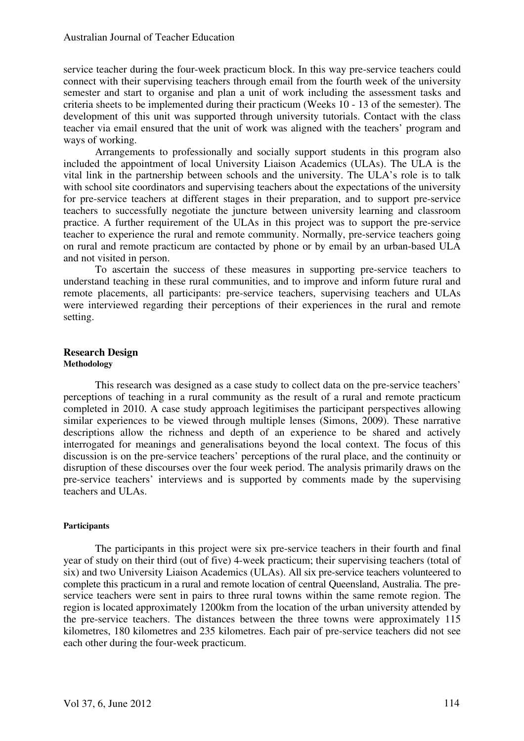#### Australian Journal of Teacher Education

service teacher during the four-week practicum block. In this way pre-service teachers could connect with their supervising teachers through email from the fourth week of the university semester and start to organise and plan a unit of work including the assessment tasks and criteria sheets to be implemented during their practicum (Weeks 10 - 13 of the semester). The development of this unit was supported through university tutorials. Contact with the class teacher via email ensured that the unit of work was aligned with the teachers' program and ways of working.

Arrangements to professionally and socially support students in this program also included the appointment of local University Liaison Academics (ULAs). The ULA is the vital link in the partnership between schools and the university. The ULA's role is to talk with school site coordinators and supervising teachers about the expectations of the university for pre-service teachers at different stages in their preparation, and to support pre-service teachers to successfully negotiate the juncture between university learning and classroom practice. A further requirement of the ULAs in this project was to support the pre-service teacher to experience the rural and remote community. Normally, pre-service teachers going on rural and remote practicum are contacted by phone or by email by an urban-based ULA and not visited in person.

To ascertain the success of these measures in supporting pre-service teachers to understand teaching in these rural communities, and to improve and inform future rural and remote placements, all participants: pre-service teachers, supervising teachers and ULAs were interviewed regarding their perceptions of their experiences in the rural and remote setting.

#### **Research Design Methodology**

This research was designed as a case study to collect data on the pre-service teachers' perceptions of teaching in a rural community as the result of a rural and remote practicum completed in 2010. A case study approach legitimises the participant perspectives allowing similar experiences to be viewed through multiple lenses (Simons, 2009). These narrative descriptions allow the richness and depth of an experience to be shared and actively interrogated for meanings and generalisations beyond the local context. The focus of this discussion is on the pre-service teachers' perceptions of the rural place, and the continuity or disruption of these discourses over the four week period. The analysis primarily draws on the pre-service teachers' interviews and is supported by comments made by the supervising teachers and ULAs.

#### **Participants**

The participants in this project were six pre-service teachers in their fourth and final year of study on their third (out of five) 4-week practicum; their supervising teachers (total of six) and two University Liaison Academics (ULAs). All six pre-service teachers volunteered to complete this practicum in a rural and remote location of central Queensland, Australia. The preservice teachers were sent in pairs to three rural towns within the same remote region. The region is located approximately 1200km from the location of the urban university attended by the pre-service teachers. The distances between the three towns were approximately 115 kilometres, 180 kilometres and 235 kilometres. Each pair of pre-service teachers did not see each other during the four-week practicum.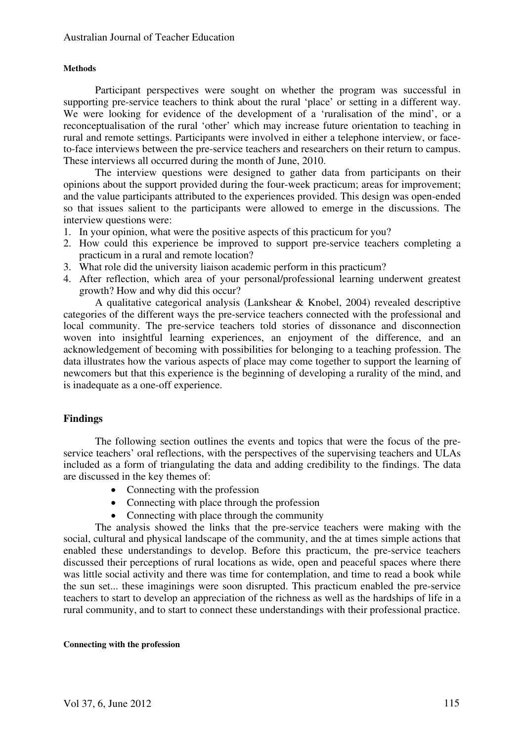#### **Methods**

Participant perspectives were sought on whether the program was successful in supporting pre-service teachers to think about the rural 'place' or setting in a different way. We were looking for evidence of the development of a 'ruralisation of the mind', or a reconceptualisation of the rural 'other' which may increase future orientation to teaching in rural and remote settings. Participants were involved in either a telephone interview, or faceto-face interviews between the pre-service teachers and researchers on their return to campus. These interviews all occurred during the month of June, 2010.

The interview questions were designed to gather data from participants on their opinions about the support provided during the four-week practicum; areas for improvement; and the value participants attributed to the experiences provided. This design was open-ended so that issues salient to the participants were allowed to emerge in the discussions. The interview questions were:

- 1. In your opinion, what were the positive aspects of this practicum for you?
- 2. How could this experience be improved to support pre-service teachers completing a practicum in a rural and remote location?
- 3. What role did the university liaison academic perform in this practicum?
- 4. After reflection, which area of your personal/professional learning underwent greatest growth? How and why did this occur?

A qualitative categorical analysis (Lankshear & Knobel, 2004) revealed descriptive categories of the different ways the pre-service teachers connected with the professional and local community. The pre-service teachers told stories of dissonance and disconnection woven into insightful learning experiences, an enjoyment of the difference, and an acknowledgement of becoming with possibilities for belonging to a teaching profession. The data illustrates how the various aspects of place may come together to support the learning of newcomers but that this experience is the beginning of developing a rurality of the mind, and is inadequate as a one-off experience.

## **Findings**

The following section outlines the events and topics that were the focus of the preservice teachers' oral reflections, with the perspectives of the supervising teachers and ULAs included as a form of triangulating the data and adding credibility to the findings. The data are discussed in the key themes of:

- Connecting with the profession
- Connecting with place through the profession
- Connecting with place through the community

The analysis showed the links that the pre-service teachers were making with the social, cultural and physical landscape of the community, and the at times simple actions that enabled these understandings to develop. Before this practicum, the pre-service teachers discussed their perceptions of rural locations as wide, open and peaceful spaces where there was little social activity and there was time for contemplation, and time to read a book while the sun set... these imaginings were soon disrupted. This practicum enabled the pre-service teachers to start to develop an appreciation of the richness as well as the hardships of life in a rural community, and to start to connect these understandings with their professional practice.

#### **Connecting with the profession**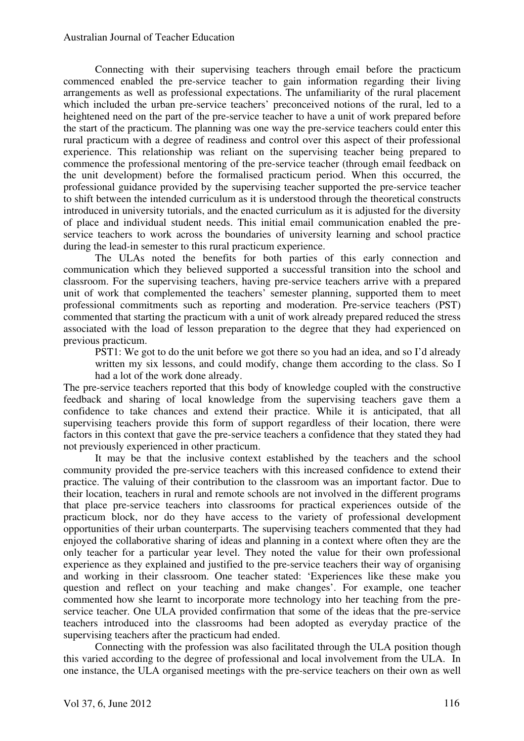Connecting with their supervising teachers through email before the practicum commenced enabled the pre-service teacher to gain information regarding their living arrangements as well as professional expectations. The unfamiliarity of the rural placement which included the urban pre-service teachers' preconceived notions of the rural, led to a heightened need on the part of the pre-service teacher to have a unit of work prepared before the start of the practicum. The planning was one way the pre-service teachers could enter this rural practicum with a degree of readiness and control over this aspect of their professional experience. This relationship was reliant on the supervising teacher being prepared to commence the professional mentoring of the pre-service teacher (through email feedback on the unit development) before the formalised practicum period. When this occurred, the professional guidance provided by the supervising teacher supported the pre-service teacher to shift between the intended curriculum as it is understood through the theoretical constructs introduced in university tutorials, and the enacted curriculum as it is adjusted for the diversity of place and individual student needs. This initial email communication enabled the preservice teachers to work across the boundaries of university learning and school practice during the lead-in semester to this rural practicum experience.

The ULAs noted the benefits for both parties of this early connection and communication which they believed supported a successful transition into the school and classroom. For the supervising teachers, having pre-service teachers arrive with a prepared unit of work that complemented the teachers' semester planning, supported them to meet professional commitments such as reporting and moderation. Pre-service teachers (PST) commented that starting the practicum with a unit of work already prepared reduced the stress associated with the load of lesson preparation to the degree that they had experienced on previous practicum.

PST1: We got to do the unit before we got there so you had an idea, and so I'd already written my six lessons, and could modify, change them according to the class. So I had a lot of the work done already.

The pre-service teachers reported that this body of knowledge coupled with the constructive feedback and sharing of local knowledge from the supervising teachers gave them a confidence to take chances and extend their practice. While it is anticipated, that all supervising teachers provide this form of support regardless of their location, there were factors in this context that gave the pre-service teachers a confidence that they stated they had not previously experienced in other practicum.

It may be that the inclusive context established by the teachers and the school community provided the pre-service teachers with this increased confidence to extend their practice. The valuing of their contribution to the classroom was an important factor. Due to their location, teachers in rural and remote schools are not involved in the different programs that place pre-service teachers into classrooms for practical experiences outside of the practicum block, nor do they have access to the variety of professional development opportunities of their urban counterparts. The supervising teachers commented that they had enjoyed the collaborative sharing of ideas and planning in a context where often they are the only teacher for a particular year level. They noted the value for their own professional experience as they explained and justified to the pre-service teachers their way of organising and working in their classroom. One teacher stated: 'Experiences like these make you question and reflect on your teaching and make changes'. For example, one teacher commented how she learnt to incorporate more technology into her teaching from the preservice teacher. One ULA provided confirmation that some of the ideas that the pre-service teachers introduced into the classrooms had been adopted as everyday practice of the supervising teachers after the practicum had ended.

Connecting with the profession was also facilitated through the ULA position though this varied according to the degree of professional and local involvement from the ULA. In one instance, the ULA organised meetings with the pre-service teachers on their own as well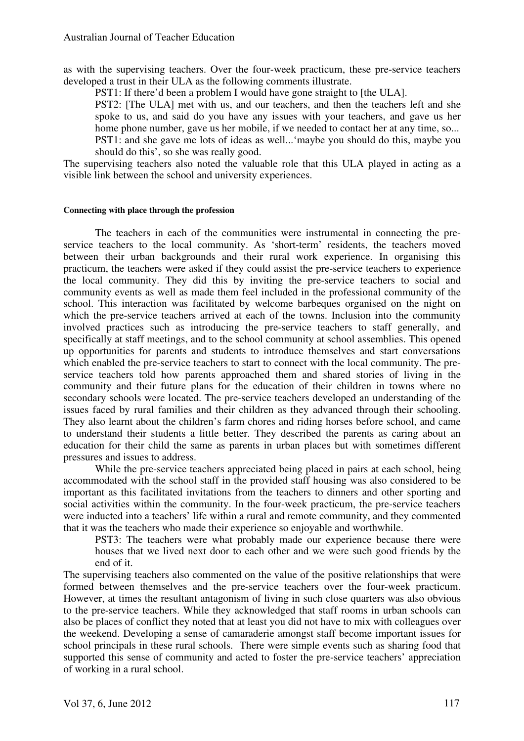as with the supervising teachers. Over the four-week practicum, these pre-service teachers developed a trust in their ULA as the following comments illustrate.

PST1: If there'd been a problem I would have gone straight to [the ULA].

PST2: [The ULA] met with us, and our teachers, and then the teachers left and she spoke to us, and said do you have any issues with your teachers, and gave us her home phone number, gave us her mobile, if we needed to contact her at any time, so...

PST1: and she gave me lots of ideas as well...'maybe you should do this, maybe you should do this', so she was really good.

The supervising teachers also noted the valuable role that this ULA played in acting as a visible link between the school and university experiences.

#### **Connecting with place through the profession**

The teachers in each of the communities were instrumental in connecting the preservice teachers to the local community. As 'short-term' residents, the teachers moved between their urban backgrounds and their rural work experience. In organising this practicum, the teachers were asked if they could assist the pre-service teachers to experience the local community. They did this by inviting the pre-service teachers to social and community events as well as made them feel included in the professional community of the school. This interaction was facilitated by welcome barbeques organised on the night on which the pre-service teachers arrived at each of the towns. Inclusion into the community involved practices such as introducing the pre-service teachers to staff generally, and specifically at staff meetings, and to the school community at school assemblies. This opened up opportunities for parents and students to introduce themselves and start conversations which enabled the pre-service teachers to start to connect with the local community. The preservice teachers told how parents approached them and shared stories of living in the community and their future plans for the education of their children in towns where no secondary schools were located. The pre-service teachers developed an understanding of the issues faced by rural families and their children as they advanced through their schooling. They also learnt about the children's farm chores and riding horses before school, and came to understand their students a little better. They described the parents as caring about an education for their child the same as parents in urban places but with sometimes different pressures and issues to address.

While the pre-service teachers appreciated being placed in pairs at each school, being accommodated with the school staff in the provided staff housing was also considered to be important as this facilitated invitations from the teachers to dinners and other sporting and social activities within the community. In the four-week practicum, the pre-service teachers were inducted into a teachers' life within a rural and remote community, and they commented that it was the teachers who made their experience so enjoyable and worthwhile.

PST3: The teachers were what probably made our experience because there were houses that we lived next door to each other and we were such good friends by the end of it.

The supervising teachers also commented on the value of the positive relationships that were formed between themselves and the pre-service teachers over the four-week practicum. However, at times the resultant antagonism of living in such close quarters was also obvious to the pre-service teachers. While they acknowledged that staff rooms in urban schools can also be places of conflict they noted that at least you did not have to mix with colleagues over the weekend. Developing a sense of camaraderie amongst staff become important issues for school principals in these rural schools. There were simple events such as sharing food that supported this sense of community and acted to foster the pre-service teachers' appreciation of working in a rural school.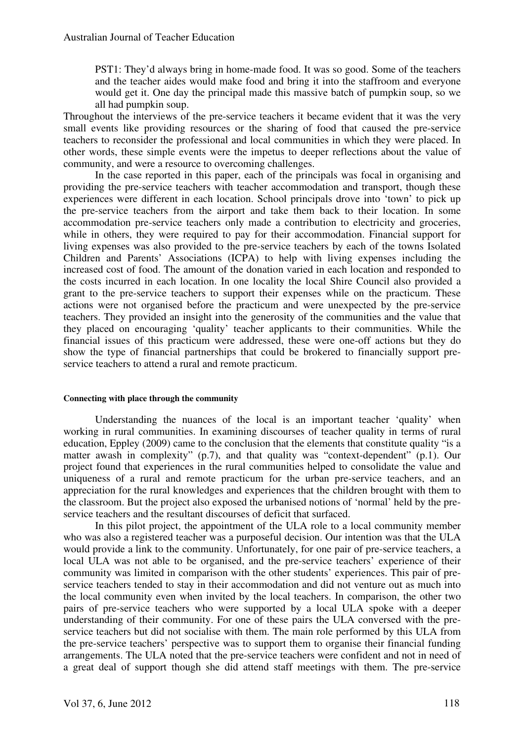PST1: They'd always bring in home-made food. It was so good. Some of the teachers and the teacher aides would make food and bring it into the staffroom and everyone would get it. One day the principal made this massive batch of pumpkin soup, so we all had pumpkin soup.

Throughout the interviews of the pre-service teachers it became evident that it was the very small events like providing resources or the sharing of food that caused the pre-service teachers to reconsider the professional and local communities in which they were placed. In other words, these simple events were the impetus to deeper reflections about the value of community, and were a resource to overcoming challenges.

In the case reported in this paper, each of the principals was focal in organising and providing the pre-service teachers with teacher accommodation and transport, though these experiences were different in each location. School principals drove into 'town' to pick up the pre-service teachers from the airport and take them back to their location. In some accommodation pre-service teachers only made a contribution to electricity and groceries, while in others, they were required to pay for their accommodation. Financial support for living expenses was also provided to the pre-service teachers by each of the towns Isolated Children and Parents' Associations (ICPA) to help with living expenses including the increased cost of food. The amount of the donation varied in each location and responded to the costs incurred in each location. In one locality the local Shire Council also provided a grant to the pre-service teachers to support their expenses while on the practicum. These actions were not organised before the practicum and were unexpected by the pre-service teachers. They provided an insight into the generosity of the communities and the value that they placed on encouraging 'quality' teacher applicants to their communities. While the financial issues of this practicum were addressed, these were one-off actions but they do show the type of financial partnerships that could be brokered to financially support preservice teachers to attend a rural and remote practicum.

#### **Connecting with place through the community**

Understanding the nuances of the local is an important teacher 'quality' when working in rural communities. In examining discourses of teacher quality in terms of rural education, Eppley (2009) came to the conclusion that the elements that constitute quality "is a matter awash in complexity" (p.7), and that quality was "context-dependent" (p.1). Our project found that experiences in the rural communities helped to consolidate the value and uniqueness of a rural and remote practicum for the urban pre-service teachers, and an appreciation for the rural knowledges and experiences that the children brought with them to the classroom. But the project also exposed the urbanised notions of 'normal' held by the preservice teachers and the resultant discourses of deficit that surfaced.

In this pilot project, the appointment of the ULA role to a local community member who was also a registered teacher was a purposeful decision. Our intention was that the ULA would provide a link to the community. Unfortunately, for one pair of pre-service teachers, a local ULA was not able to be organised, and the pre-service teachers' experience of their community was limited in comparison with the other students' experiences. This pair of preservice teachers tended to stay in their accommodation and did not venture out as much into the local community even when invited by the local teachers. In comparison, the other two pairs of pre-service teachers who were supported by a local ULA spoke with a deeper understanding of their community. For one of these pairs the ULA conversed with the preservice teachers but did not socialise with them. The main role performed by this ULA from the pre-service teachers' perspective was to support them to organise their financial funding arrangements. The ULA noted that the pre-service teachers were confident and not in need of a great deal of support though she did attend staff meetings with them. The pre-service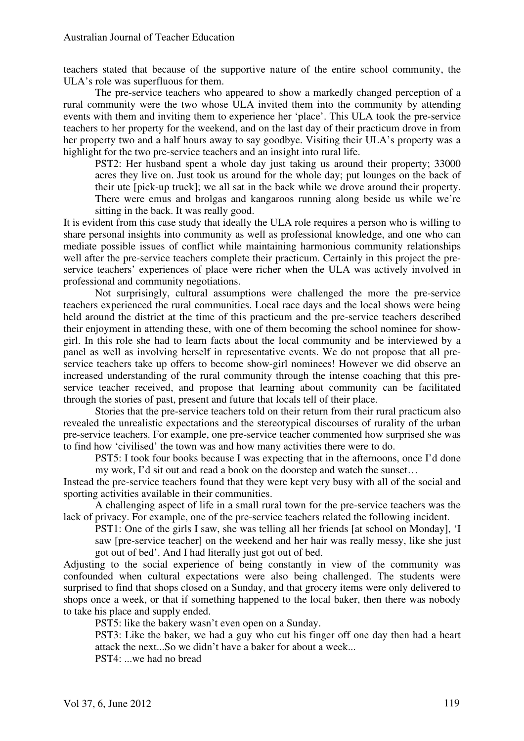teachers stated that because of the supportive nature of the entire school community, the ULA's role was superfluous for them.

The pre-service teachers who appeared to show a markedly changed perception of a rural community were the two whose ULA invited them into the community by attending events with them and inviting them to experience her 'place'. This ULA took the pre-service teachers to her property for the weekend, and on the last day of their practicum drove in from her property two and a half hours away to say goodbye. Visiting their ULA's property was a highlight for the two pre-service teachers and an insight into rural life.

PST2: Her husband spent a whole day just taking us around their property; 33000 acres they live on. Just took us around for the whole day; put lounges on the back of their ute [pick-up truck]; we all sat in the back while we drove around their property. There were emus and brolgas and kangaroos running along beside us while we're sitting in the back. It was really good.

It is evident from this case study that ideally the ULA role requires a person who is willing to share personal insights into community as well as professional knowledge, and one who can mediate possible issues of conflict while maintaining harmonious community relationships well after the pre-service teachers complete their practicum. Certainly in this project the preservice teachers' experiences of place were richer when the ULA was actively involved in professional and community negotiations.

Not surprisingly, cultural assumptions were challenged the more the pre-service teachers experienced the rural communities. Local race days and the local shows were being held around the district at the time of this practicum and the pre-service teachers described their enjoyment in attending these, with one of them becoming the school nominee for showgirl. In this role she had to learn facts about the local community and be interviewed by a panel as well as involving herself in representative events. We do not propose that all preservice teachers take up offers to become show-girl nominees! However we did observe an increased understanding of the rural community through the intense coaching that this preservice teacher received, and propose that learning about community can be facilitated through the stories of past, present and future that locals tell of their place.

Stories that the pre-service teachers told on their return from their rural practicum also revealed the unrealistic expectations and the stereotypical discourses of rurality of the urban pre-service teachers. For example, one pre-service teacher commented how surprised she was to find how 'civilised' the town was and how many activities there were to do.

PST5: I took four books because I was expecting that in the afternoons, once I'd done my work, I'd sit out and read a book on the doorstep and watch the sunset…

Instead the pre-service teachers found that they were kept very busy with all of the social and sporting activities available in their communities.

A challenging aspect of life in a small rural town for the pre-service teachers was the lack of privacy. For example, one of the pre-service teachers related the following incident.

PST1: One of the girls I saw, she was telling all her friends [at school on Monday], 'I saw [pre-service teacher] on the weekend and her hair was really messy, like she just got out of bed'. And I had literally just got out of bed.

Adjusting to the social experience of being constantly in view of the community was confounded when cultural expectations were also being challenged. The students were surprised to find that shops closed on a Sunday, and that grocery items were only delivered to shops once a week, or that if something happened to the local baker, then there was nobody to take his place and supply ended.

PST5: like the bakery wasn't even open on a Sunday.

PST3: Like the baker, we had a guy who cut his finger off one day then had a heart attack the next...So we didn't have a baker for about a week...

PST4: ...we had no bread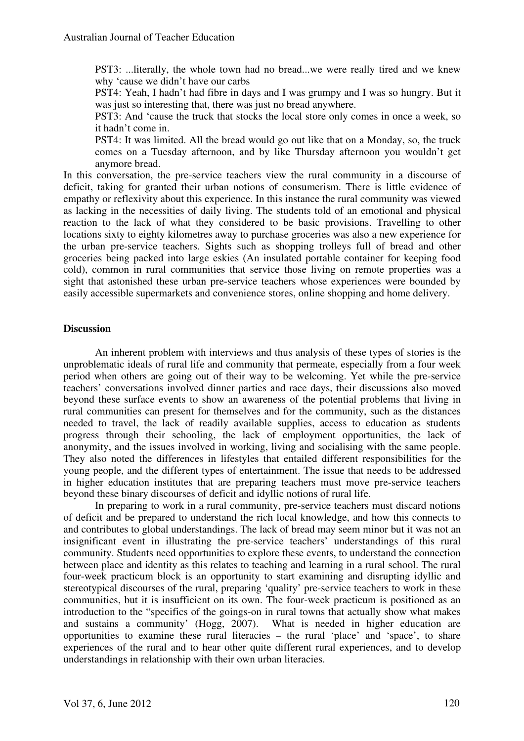PST3: ...literally, the whole town had no bread...we were really tired and we knew why 'cause we didn't have our carbs

PST4: Yeah, I hadn't had fibre in days and I was grumpy and I was so hungry. But it was just so interesting that, there was just no bread anywhere.

PST3: And 'cause the truck that stocks the local store only comes in once a week, so it hadn't come in.

PST4: It was limited. All the bread would go out like that on a Monday, so, the truck comes on a Tuesday afternoon, and by like Thursday afternoon you wouldn't get anymore bread.

In this conversation, the pre-service teachers view the rural community in a discourse of deficit, taking for granted their urban notions of consumerism. There is little evidence of empathy or reflexivity about this experience. In this instance the rural community was viewed as lacking in the necessities of daily living. The students told of an emotional and physical reaction to the lack of what they considered to be basic provisions. Travelling to other locations sixty to eighty kilometres away to purchase groceries was also a new experience for the urban pre-service teachers. Sights such as shopping trolleys full of bread and other groceries being packed into large eskies (An insulated portable container for keeping food cold), common in rural communities that service those living on remote properties was a sight that astonished these urban pre-service teachers whose experiences were bounded by easily accessible supermarkets and convenience stores, online shopping and home delivery.

## **Discussion**

An inherent problem with interviews and thus analysis of these types of stories is the unproblematic ideals of rural life and community that permeate, especially from a four week period when others are going out of their way to be welcoming. Yet while the pre-service teachers' conversations involved dinner parties and race days, their discussions also moved beyond these surface events to show an awareness of the potential problems that living in rural communities can present for themselves and for the community, such as the distances needed to travel, the lack of readily available supplies, access to education as students progress through their schooling, the lack of employment opportunities, the lack of anonymity, and the issues involved in working, living and socialising with the same people. They also noted the differences in lifestyles that entailed different responsibilities for the young people, and the different types of entertainment. The issue that needs to be addressed in higher education institutes that are preparing teachers must move pre-service teachers beyond these binary discourses of deficit and idyllic notions of rural life.

In preparing to work in a rural community, pre-service teachers must discard notions of deficit and be prepared to understand the rich local knowledge, and how this connects to and contributes to global understandings. The lack of bread may seem minor but it was not an insignificant event in illustrating the pre-service teachers' understandings of this rural community. Students need opportunities to explore these events, to understand the connection between place and identity as this relates to teaching and learning in a rural school. The rural four-week practicum block is an opportunity to start examining and disrupting idyllic and stereotypical discourses of the rural, preparing 'quality' pre-service teachers to work in these communities, but it is insufficient on its own. The four-week practicum is positioned as an introduction to the "specifics of the goings-on in rural towns that actually show what makes and sustains a community' (Hogg, 2007). What is needed in higher education are opportunities to examine these rural literacies – the rural 'place' and 'space', to share experiences of the rural and to hear other quite different rural experiences, and to develop understandings in relationship with their own urban literacies.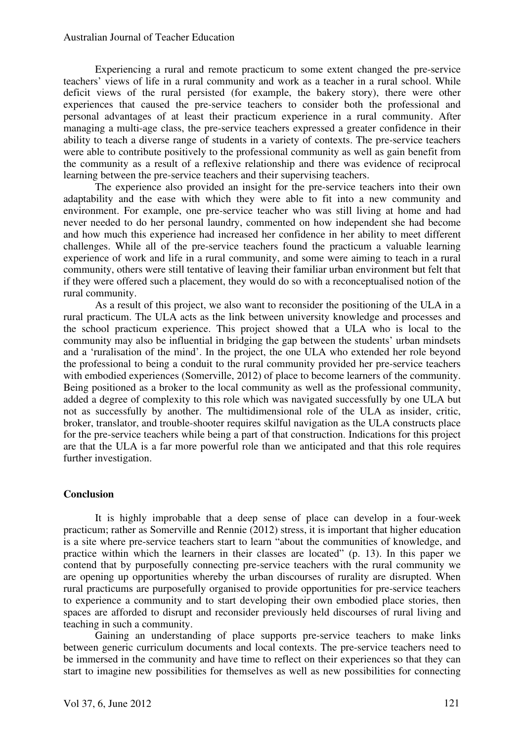Experiencing a rural and remote practicum to some extent changed the pre-service teachers' views of life in a rural community and work as a teacher in a rural school. While deficit views of the rural persisted (for example, the bakery story), there were other experiences that caused the pre-service teachers to consider both the professional and personal advantages of at least their practicum experience in a rural community. After managing a multi-age class, the pre-service teachers expressed a greater confidence in their ability to teach a diverse range of students in a variety of contexts. The pre-service teachers were able to contribute positively to the professional community as well as gain benefit from the community as a result of a reflexive relationship and there was evidence of reciprocal learning between the pre-service teachers and their supervising teachers.

The experience also provided an insight for the pre-service teachers into their own adaptability and the ease with which they were able to fit into a new community and environment. For example, one pre-service teacher who was still living at home and had never needed to do her personal laundry, commented on how independent she had become and how much this experience had increased her confidence in her ability to meet different challenges. While all of the pre-service teachers found the practicum a valuable learning experience of work and life in a rural community, and some were aiming to teach in a rural community, others were still tentative of leaving their familiar urban environment but felt that if they were offered such a placement, they would do so with a reconceptualised notion of the rural community.

As a result of this project, we also want to reconsider the positioning of the ULA in a rural practicum. The ULA acts as the link between university knowledge and processes and the school practicum experience. This project showed that a ULA who is local to the community may also be influential in bridging the gap between the students' urban mindsets and a 'ruralisation of the mind'. In the project, the one ULA who extended her role beyond the professional to being a conduit to the rural community provided her pre-service teachers with embodied experiences (Somerville, 2012) of place to become learners of the community. Being positioned as a broker to the local community as well as the professional community, added a degree of complexity to this role which was navigated successfully by one ULA but not as successfully by another. The multidimensional role of the ULA as insider, critic, broker, translator, and trouble-shooter requires skilful navigation as the ULA constructs place for the pre-service teachers while being a part of that construction. Indications for this project are that the ULA is a far more powerful role than we anticipated and that this role requires further investigation.

## **Conclusion**

It is highly improbable that a deep sense of place can develop in a four-week practicum; rather as Somerville and Rennie (2012) stress, it is important that higher education is a site where pre-service teachers start to learn "about the communities of knowledge, and practice within which the learners in their classes are located" (p. 13). In this paper we contend that by purposefully connecting pre-service teachers with the rural community we are opening up opportunities whereby the urban discourses of rurality are disrupted. When rural practicums are purposefully organised to provide opportunities for pre-service teachers to experience a community and to start developing their own embodied place stories, then spaces are afforded to disrupt and reconsider previously held discourses of rural living and teaching in such a community.

Gaining an understanding of place supports pre-service teachers to make links between generic curriculum documents and local contexts. The pre-service teachers need to be immersed in the community and have time to reflect on their experiences so that they can start to imagine new possibilities for themselves as well as new possibilities for connecting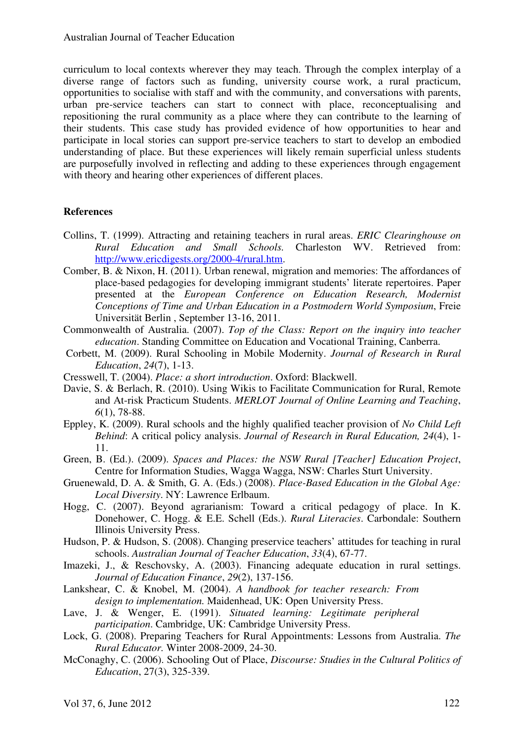curriculum to local contexts wherever they may teach. Through the complex interplay of a diverse range of factors such as funding, university course work, a rural practicum, opportunities to socialise with staff and with the community, and conversations with parents, urban pre-service teachers can start to connect with place, reconceptualising and repositioning the rural community as a place where they can contribute to the learning of their students. This case study has provided evidence of how opportunities to hear and participate in local stories can support pre-service teachers to start to develop an embodied understanding of place. But these experiences will likely remain superficial unless students are purposefully involved in reflecting and adding to these experiences through engagement with theory and hearing other experiences of different places.

## **References**

- Collins, T. (1999). Attracting and retaining teachers in rural areas. *ERIC Clearinghouse on Rural Education and Small Schools.* Charleston WV. Retrieved from: http://www.ericdigests.org/2000-4/rural.htm.
- Comber, B. & Nixon, H. (2011). Urban renewal, migration and memories: The affordances of place-based pedagogies for developing immigrant students' literate repertoires. Paper presented at the *European Conference on Education Research, Modernist Conceptions of Time and Urban Education in a Postmodern World Symposium*, Freie Universität Berlin , September 13-16, 2011.
- Commonwealth of Australia. (2007). *Top of the Class: Report on the inquiry into teacher education*. Standing Committee on Education and Vocational Training, Canberra.
- Corbett, M. (2009). Rural Schooling in Mobile Modernity. *Journal of Research in Rural Education*, *24*(7), 1-13.
- Cresswell, T. (2004). *Place: a short introduction*. Oxford: Blackwell.
- Davie, S. & Berlach, R. (2010). Using Wikis to Facilitate Communication for Rural, Remote and At-risk Practicum Students. *MERLOT Journal of Online Learning and Teaching*, *6*(1), 78-88.
- Eppley, K. (2009). Rural schools and the highly qualified teacher provision of *No Child Left Behind*: A critical policy analysis. *Journal of Research in Rural Education, 24*(4), 1- 11.
- Green, B. (Ed.). (2009). *Spaces and Places: the NSW Rural [Teacher] Education Project*, Centre for Information Studies, Wagga Wagga, NSW: Charles Sturt University.
- Gruenewald, D. A. & Smith, G. A. (Eds.) (2008). *Place-Based Education in the Global Age: Local Diversity*. NY: Lawrence Erlbaum.
- Hogg, C. (2007). Beyond agrarianism: Toward a critical pedagogy of place. In K. Donehower, C. Hogg. & E.E. Schell (Eds.). *Rural Literacies*. Carbondale: Southern Illinois University Press.
- Hudson, P. & Hudson, S. (2008). Changing preservice teachers' attitudes for teaching in rural schools. *Australian Journal of Teacher Education*, *33*(4), 67-77.
- Imazeki, J., & Reschovsky, A. (2003). Financing adequate education in rural settings. *Journal of Education Finance*, *29*(2), 137-156.
- Lankshear, C. & Knobel, M. (2004). *A handbook for teacher research: From design to implementation.* Maidenhead, UK: Open University Press.
- Lave, J. & Wenger, E. (1991). *Situated learning: Legitimate peripheral participation*. Cambridge, UK: Cambridge University Press.
- Lock, G. (2008). Preparing Teachers for Rural Appointments: Lessons from Australia. *The Rural Educator.* Winter 2008-2009, 24-30.
- McConaghy, C. (2006). Schooling Out of Place, *Discourse: Studies in the Cultural Politics of Education*, 27(3), 325-339.